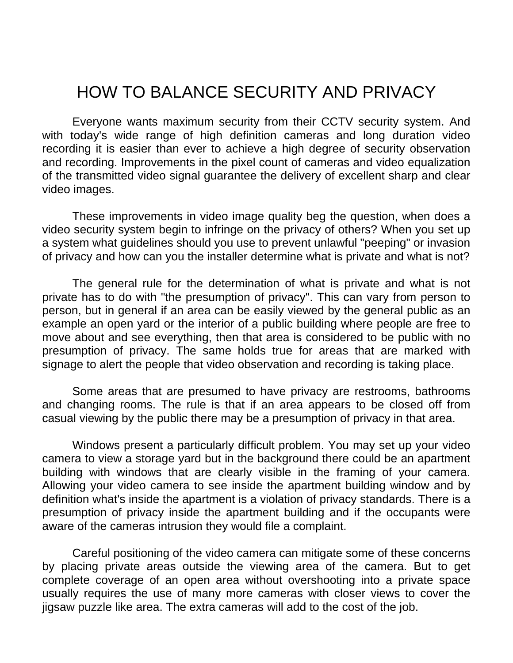## HOW TO BALANCE SECURITY AND PRIVACY

 Everyone wants maximum security from their CCTV security system. And with today's wide range of high definition cameras and long duration video recording it is easier than ever to achieve a high degree of security observation and recording. Improvements in the pixel count of cameras and video equalization of the transmitted video signal guarantee the delivery of excellent sharp and clear video images.

 These improvements in video image quality beg the question, when does a video security system begin to infringe on the privacy of others? When you set up a system what guidelines should you use to prevent unlawful "peeping" or invasion of privacy and how can you the installer determine what is private and what is not?

 The general rule for the determination of what is private and what is not private has to do with "the presumption of privacy". This can vary from person to person, but in general if an area can be easily viewed by the general public as an example an open yard or the interior of a public building where people are free to move about and see everything, then that area is considered to be public with no presumption of privacy. The same holds true for areas that are marked with signage to alert the people that video observation and recording is taking place.

 Some areas that are presumed to have privacy are restrooms, bathrooms and changing rooms. The rule is that if an area appears to be closed off from casual viewing by the public there may be a presumption of privacy in that area.

 Windows present a particularly difficult problem. You may set up your video camera to view a storage yard but in the background there could be an apartment building with windows that are clearly visible in the framing of your camera. Allowing your video camera to see inside the apartment building window and by definition what's inside the apartment is a violation of privacy standards. There is a presumption of privacy inside the apartment building and if the occupants were aware of the cameras intrusion they would file a complaint.

 Careful positioning of the video camera can mitigate some of these concerns by placing private areas outside the viewing area of the camera. But to get complete coverage of an open area without overshooting into a private space usually requires the use of many more cameras with closer views to cover the jigsaw puzzle like area. The extra cameras will add to the cost of the job.